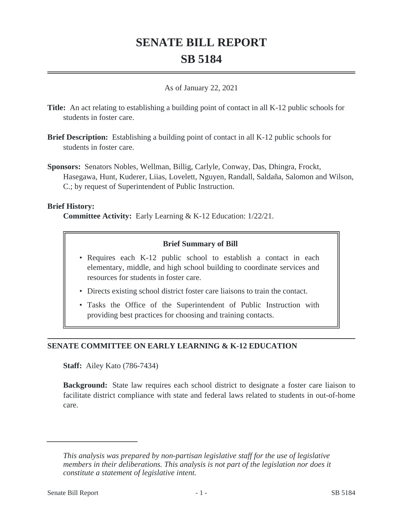# **SENATE BILL REPORT SB 5184**

#### As of January 22, 2021

- **Title:** An act relating to establishing a building point of contact in all K-12 public schools for students in foster care.
- **Brief Description:** Establishing a building point of contact in all K-12 public schools for students in foster care.
- **Sponsors:** Senators Nobles, Wellman, Billig, Carlyle, Conway, Das, Dhingra, Frockt, Hasegawa, Hunt, Kuderer, Liias, Lovelett, Nguyen, Randall, Saldaña, Salomon and Wilson, C.; by request of Superintendent of Public Instruction.

#### **Brief History:**

**Committee Activity:** Early Learning & K-12 Education: 1/22/21.

## **Brief Summary of Bill**

- Requires each K-12 public school to establish a contact in each elementary, middle, and high school building to coordinate services and resources for students in foster care.
- Directs existing school district foster care liaisons to train the contact.
- Tasks the Office of the Superintendent of Public Instruction with providing best practices for choosing and training contacts.

# **SENATE COMMITTEE ON EARLY LEARNING & K-12 EDUCATION**

**Staff:** Ailey Kato (786-7434)

**Background:** State law requires each school district to designate a foster care liaison to facilitate district compliance with state and federal laws related to students in out-of-home care.

*This analysis was prepared by non-partisan legislative staff for the use of legislative members in their deliberations. This analysis is not part of the legislation nor does it constitute a statement of legislative intent.*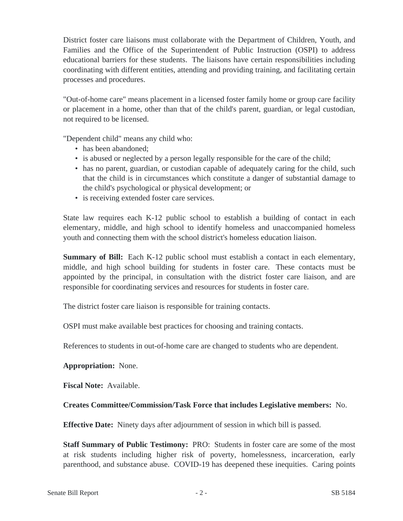District foster care liaisons must collaborate with the Department of Children, Youth, and Families and the Office of the Superintendent of Public Instruction (OSPI) to address educational barriers for these students. The liaisons have certain responsibilities including coordinating with different entities, attending and providing training, and facilitating certain processes and procedures.

"Out-of-home care" means placement in a licensed foster family home or group care facility or placement in a home, other than that of the child's parent, guardian, or legal custodian, not required to be licensed.

"Dependent child" means any child who:

- has been abandoned;
- is abused or neglected by a person legally responsible for the care of the child;
- has no parent, guardian, or custodian capable of adequately caring for the child, such that the child is in circumstances which constitute a danger of substantial damage to the child's psychological or physical development; or
- is receiving extended foster care services.

State law requires each K-12 public school to establish a building of contact in each elementary, middle, and high school to identify homeless and unaccompanied homeless youth and connecting them with the school district's homeless education liaison.

**Summary of Bill:** Each K-12 public school must establish a contact in each elementary, middle, and high school building for students in foster care. These contacts must be appointed by the principal, in consultation with the district foster care liaison, and are responsible for coordinating services and resources for students in foster care.

The district foster care liaison is responsible for training contacts.

OSPI must make available best practices for choosing and training contacts.

References to students in out-of-home care are changed to students who are dependent.

## **Appropriation:** None.

**Fiscal Note:** Available.

## **Creates Committee/Commission/Task Force that includes Legislative members:** No.

**Effective Date:** Ninety days after adjournment of session in which bill is passed.

**Staff Summary of Public Testimony:** PRO: Students in foster care are some of the most at risk students including higher risk of poverty, homelessness, incarceration, early parenthood, and substance abuse. COVID-19 has deepened these inequities. Caring points